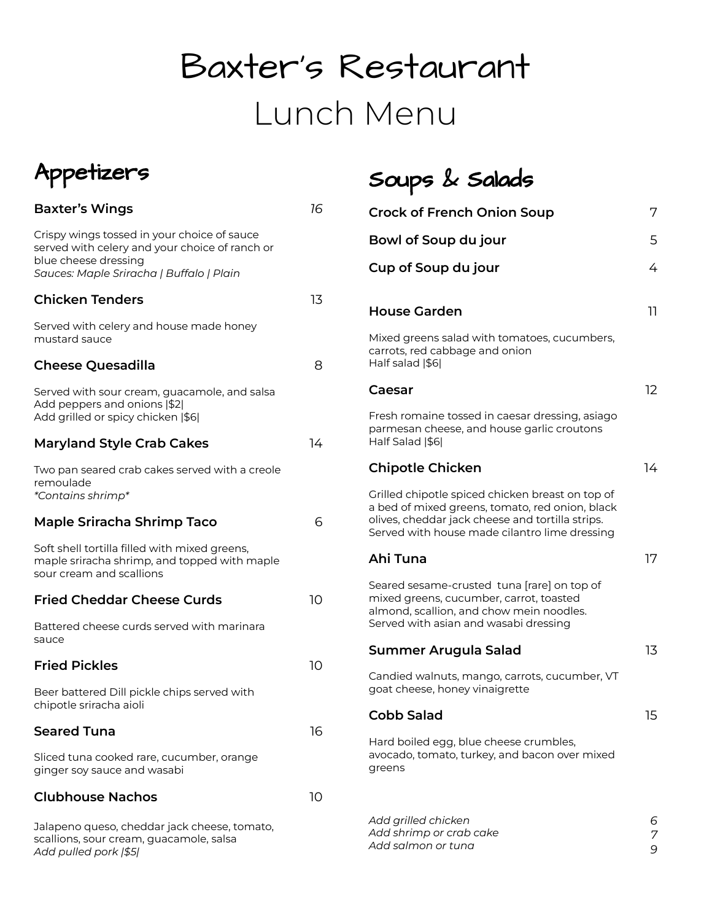# Baxter's Restaurant Lunch Menu

Soups & Salads

*6 7 9*



*Add pulled pork |\$5|*

### **Baxter's Wings** *16* Crispy wings tossed in your choice of sauce served with celery and your choice of ranch or blue cheese dressing *Sauces: Maple Sriracha | Buffalo | Plain* **Chicken Tenders** 13 Served with celery and house made honey mustard sauce **Cheese Quesadilla** 8 Served with sour cream, guacamole, and salsa Add peppers and onions |\$2| Add grilled or spicy chicken |\$6| **Maryland Style Crab Cakes** 14 Two pan seared crab cakes served with a creole remoulade *\*Contains shrimp\** **Maple Sriracha Shrimp Taco** 6 Soft shell tortilla filled with mixed greens, maple sriracha shrimp, and topped with maple sour cream and scallions **Fried Cheddar Cheese Curds** 10 Battered cheese curds served with marinara sauce **Fried Pickles** 10 Beer battered Dill pickle chips served with chipotle sriracha aioli **Seared Tuna** 16 Sliced tuna cooked rare, cucumber, orange ginger soy sauce and wasabi **Clubhouse Nachos** Jalapeno queso, cheddar jack cheese, tomato, scallions, sour cream, guacamole, salsa 10 **Crock of French Onion Soup** 7 **Bowl of Soup du jour** 5 **Cup of Soup du jour** 4 **House Garden** 11 Mixed greens salad with tomatoes, cucumbers, carrots, red cabbage and onion Half salad |\$6| **Caesar** 12 Fresh romaine tossed in caesar dressing, asiago parmesan cheese, and house garlic croutons Half Salad |\$6| **Chipotle Chicken** 14 Grilled chipotle spiced chicken breast on top of a bed of mixed greens, tomato, red onion, black olives, cheddar jack cheese and tortilla strips. Served with house made cilantro lime dressing **Ahi Tuna** 17 Seared sesame-crusted tuna [rare] on top of mixed greens, cucumber, carrot, toasted almond, scallion, and chow mein noodles. Served with asian and wasabi dressing **Summer Arugula Salad** 13 Candied walnuts, mango, carrots, cucumber, VT goat cheese, honey vinaigrette **Cobb Salad** 15 Hard boiled egg, blue cheese crumbles, avocado, tomato, turkey, and bacon over mixed greens *Add grilled chicken Add shrimp or crab cake Add salmon or tuna*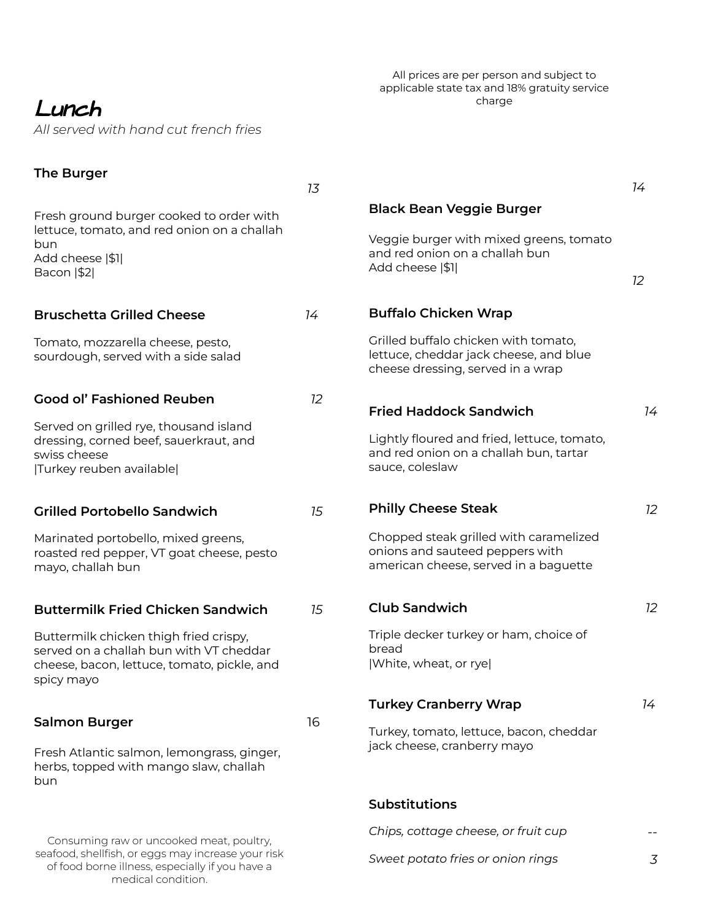# Lunch

*All served with hand cut french fries*

## All prices are per person and subject to applicable state tax and 18% gratuity service charge

| <b>The Burger</b>                                                                                     | 13 |                                                                                                                     | 14 |
|-------------------------------------------------------------------------------------------------------|----|---------------------------------------------------------------------------------------------------------------------|----|
| Fresh ground burger cooked to order with                                                              |    | <b>Black Bean Veggie Burger</b>                                                                                     |    |
| lettuce, tomato, and red onion on a challah<br>bun<br>Add cheese  \$1                                 |    | Veggie burger with mixed greens, tomato<br>and red onion on a challah bun                                           |    |
| Bacon   \$2                                                                                           |    | Add cheese  \$1                                                                                                     | 12 |
| <b>Bruschetta Grilled Cheese</b>                                                                      | 14 | <b>Buffalo Chicken Wrap</b>                                                                                         |    |
| Tomato, mozzarella cheese, pesto,<br>sourdough, served with a side salad                              |    | Grilled buffalo chicken with tomato,<br>lettuce, cheddar jack cheese, and blue<br>cheese dressing, served in a wrap |    |
| <b>Good ol' Fashioned Reuben</b>                                                                      | 12 | <b>Fried Haddock Sandwich</b>                                                                                       | 14 |
| Served on grilled rye, thousand island                                                                |    |                                                                                                                     |    |
| dressing, corned beef, sauerkraut, and<br>swiss cheese<br> Turkey reuben available                    |    | Lightly floured and fried, lettuce, tomato,<br>and red onion on a challah bun, tartar<br>sauce, coleslaw            |    |
| <b>Grilled Portobello Sandwich</b>                                                                    | 15 | <b>Philly Cheese Steak</b>                                                                                          | 12 |
| Marinated portobello, mixed greens,<br>roasted red pepper, VT goat cheese, pesto<br>mayo, challah bun |    | Chopped steak grilled with caramelized<br>onions and sauteed peppers with<br>american cheese, served in a baguette  |    |
| <b>Buttermilk Fried Chicken Sandwich</b>                                                              | 15 | <b>Club Sandwich</b>                                                                                                | 12 |
| Buttermilk chicken thigh fried crispy,                                                                |    | Triple decker turkey or ham, choice of                                                                              |    |
| served on a challah bun with VT cheddar<br>cheese, bacon, lettuce, tomato, pickle, and<br>spicy mayo  |    | bread<br>White, wheat, or ryel                                                                                      |    |
|                                                                                                       |    | <b>Turkey Cranberry Wrap</b>                                                                                        | 14 |
| <b>Salmon Burger</b>                                                                                  | 16 | Turkey, tomato, lettuce, bacon, cheddar                                                                             |    |
| Fresh Atlantic salmon, lemongrass, ginger,<br>herbs, topped with mango slaw, challah<br>bun           |    | jack cheese, cranberry mayo                                                                                         |    |
|                                                                                                       |    | <b>Substitutions</b>                                                                                                |    |
| Consuming raw or uncooked meat, poultry,                                                              |    | Chips, cottage cheese, or fruit cup                                                                                 |    |
| seafood, shellfish, or eggs may increase your risk                                                    |    | Sweet potato fries or onion rings                                                                                   | 3  |

seafood, shellfish, or eggs may increase your risk of food borne illness, especially if you have a medical condition.